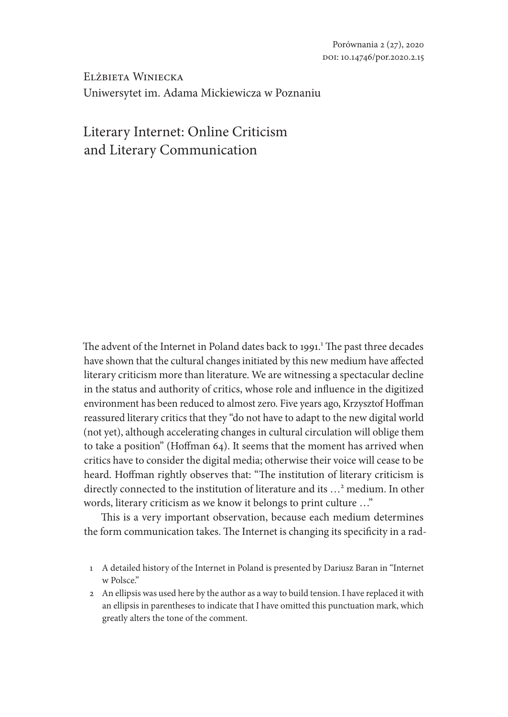Elżbieta Winiecka Uniwersytet im. Adama Mickiewicza w Poznaniu

# Literary Internet: Online Criticism and Literary Communication

The advent of the Internet in Poland dates back to 1991.<sup>1</sup> The past three decades have shown that the cultural changes initiated by this new medium have affected literary criticism more than literature. We are witnessing a spectacular decline in the status and authority of critics, whose role and influence in the digitized environment has been reduced to almost zero. Five years ago, Krzysztof Hoffman reassured literary critics that they "do not have to adapt to the new digital world (not yet), although accelerating changes in cultural circulation will oblige them to take a position" (Hoffman 64). It seems that the moment has arrived when critics have to consider the digital media; otherwise their voice will cease to be heard. Hoffman rightly observes that: "The institution of literary criticism is directly connected to the institution of literature and its …2 medium. In other words, literary criticism as we know it belongs to print culture …"

This is a very important observation, because each medium determines the form communication takes. The Internet is changing its specificity in a rad-

- 1 A detailed history of the Internet in Poland is presented by Dariusz Baran in "Internet w Polsce."
- 2 An ellipsis was used here by the author as a way to build tension. I have replaced it with an ellipsis in parentheses to indicate that I have omitted this punctuation mark, which greatly alters the tone of the comment.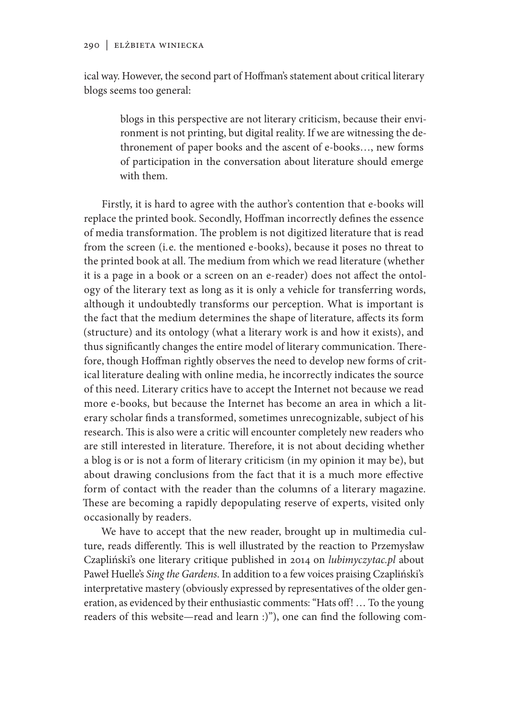ical way. However, the second part of Hoffman's statement about critical literary blogs seems too general:

> blogs in this perspective are not literary criticism, because their environment is not printing, but digital reality. If we are witnessing the dethronement of paper books and the ascent of e-books…, new forms of participation in the conversation about literature should emerge with them.

Firstly, it is hard to agree with the author's contention that e-books will replace the printed book. Secondly, Hoffman incorrectly defines the essence of media transformation. The problem is not digitized literature that is read from the screen (i.e. the mentioned e-books), because it poses no threat to the printed book at all. The medium from which we read literature (whether it is a page in a book or a screen on an e-reader) does not affect the ontology of the literary text as long as it is only a vehicle for transferring words, although it undoubtedly transforms our perception. What is important is the fact that the medium determines the shape of literature, affects its form (structure) and its ontology (what a literary work is and how it exists), and thus significantly changes the entire model of literary communication. Therefore, though Hoffman rightly observes the need to develop new forms of critical literature dealing with online media, he incorrectly indicates the source of this need. Literary critics have to accept the Internet not because we read more e-books, but because the Internet has become an area in which a literary scholar finds a transformed, sometimes unrecognizable, subject of his research. This is also were a critic will encounter completely new readers who are still interested in literature. Therefore, it is not about deciding whether a blog is or is not a form of literary criticism (in my opinion it may be), but about drawing conclusions from the fact that it is a much more effective form of contact with the reader than the columns of a literary magazine. These are becoming a rapidly depopulating reserve of experts, visited only occasionally by readers.

We have to accept that the new reader, brought up in multimedia culture, reads differently. This is well illustrated by the reaction to Przemysław Czapliński's one literary critique published in 2014 on *lubimyczytac.pl* about Paweł Huelle's *Sing the Gardens*. In addition to a few voices praising Czapliński's interpretative mastery (obviously expressed by representatives of the older generation, as evidenced by their enthusiastic comments: "Hats off! … To the young readers of this website—read and learn :)"), one can find the following com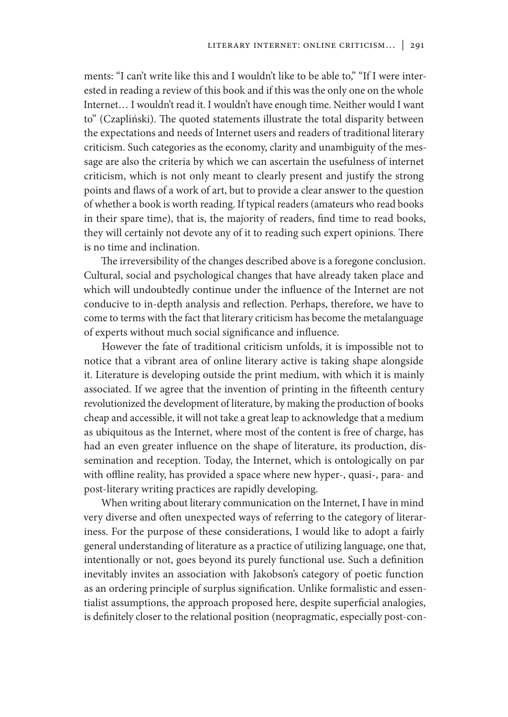ments: "I can't write like this and I wouldn't like to be able to," "If I were interested in reading a review of this book and if this was the only one on the whole Internet… I wouldn't read it. I wouldn't have enough time. Neither would I want to" (Czapliński). The quoted statements illustrate the total disparity between the expectations and needs of Internet users and readers of traditional literary criticism. Such categories as the economy, clarity and unambiguity of the message are also the criteria by which we can ascertain the usefulness of internet criticism, which is not only meant to clearly present and justify the strong points and flaws of a work of art, but to provide a clear answer to the question of whether a book is worth reading. If typical readers (amateurs who read books in their spare time), that is, the majority of readers, find time to read books, they will certainly not devote any of it to reading such expert opinions. There is no time and inclination.

The irreversibility of the changes described above is a foregone conclusion. Cultural, social and psychological changes that have already taken place and which will undoubtedly continue under the influence of the Internet are not conducive to in-depth analysis and reflection. Perhaps, therefore, we have to come to terms with the fact that literary criticism has become the metalanguage of experts without much social significance and influence.

However the fate of traditional criticism unfolds, it is impossible not to notice that a vibrant area of online literary active is taking shape alongside it. Literature is developing outside the print medium, with which it is mainly associated. If we agree that the invention of printing in the fifteenth century revolutionized the development of literature, by making the production of books cheap and accessible, it will not take a great leap to acknowledge that a medium as ubiquitous as the Internet, where most of the content is free of charge, has had an even greater influence on the shape of literature, its production, dissemination and reception. Today, the Internet, which is ontologically on par with offline reality, has provided a space where new hyper-, quasi-, para- and post-literary writing practices are rapidly developing.

When writing about literary communication on the Internet, I have in mind very diverse and often unexpected ways of referring to the category of literariness. For the purpose of these considerations, I would like to adopt a fairly general understanding of literature as a practice of utilizing language, one that, intentionally or not, goes beyond its purely functional use. Such a definition inevitably invites an association with Jakobson's category of poetic function as an ordering principle of surplus signification. Unlike formalistic and essentialist assumptions, the approach proposed here, despite superficial analogies, is definitely closer to the relational position (neopragmatic, especially post-con-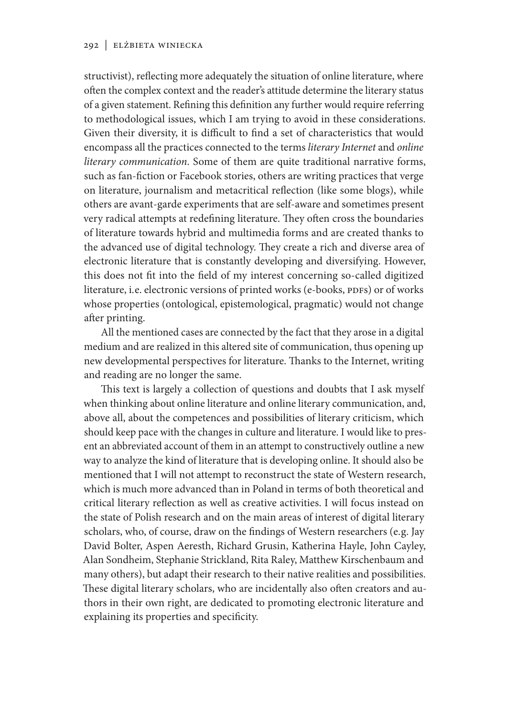structivist), reflecting more adequately the situation of online literature, where often the complex context and the reader's attitude determine the literary status of a given statement. Refining this definition any further would require referring to methodological issues, which I am trying to avoid in these considerations. Given their diversity, it is difficult to find a set of characteristics that would encompass all the practices connected to the terms *literary Internet* and *online literary communication*. Some of them are quite traditional narrative forms, such as fan-fiction or Facebook stories, others are writing practices that verge on literature, journalism and metacritical reflection (like some blogs), while others are avant-garde experiments that are self-aware and sometimes present very radical attempts at redefining literature. They often cross the boundaries of literature towards hybrid and multimedia forms and are created thanks to the advanced use of digital technology. They create a rich and diverse area of electronic literature that is constantly developing and diversifying. However, this does not fit into the field of my interest concerning so-called digitized literature, i.e. electronic versions of printed works (e-books, PDFs) or of works whose properties (ontological, epistemological, pragmatic) would not change after printing.

All the mentioned cases are connected by the fact that they arose in a digital medium and are realized in this altered site of communication, thus opening up new developmental perspectives for literature. Thanks to the Internet, writing and reading are no longer the same.

This text is largely a collection of questions and doubts that I ask myself when thinking about online literature and online literary communication, and, above all, about the competences and possibilities of literary criticism, which should keep pace with the changes in culture and literature. I would like to present an abbreviated account of them in an attempt to constructively outline a new way to analyze the kind of literature that is developing online. It should also be mentioned that I will not attempt to reconstruct the state of Western research, which is much more advanced than in Poland in terms of both theoretical and critical literary reflection as well as creative activities. I will focus instead on the state of Polish research and on the main areas of interest of digital literary scholars, who, of course, draw on the findings of Western researchers (e.g. Jay David Bolter, Aspen Aeresth, Richard Grusin, Katherina Hayle, John Cayley, Alan Sondheim, Stephanie Strickland, Rita Raley, Matthew Kirschenbaum and many others), but adapt their research to their native realities and possibilities. These digital literary scholars, who are incidentally also often creators and authors in their own right, are dedicated to promoting electronic literature and explaining its properties and specificity.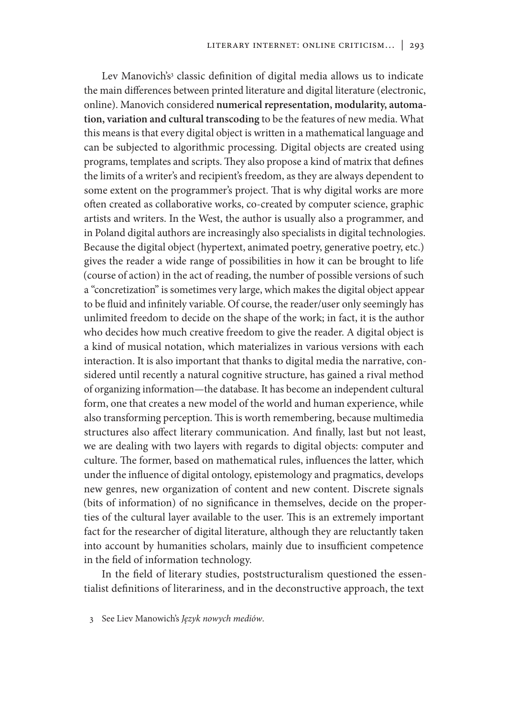Lev Manovich's<sup>3</sup> classic definition of digital media allows us to indicate the main differences between printed literature and digital literature (electronic, online). Manovich considered **numerical representation, modularity, automation, variation and cultural transcoding** to be the features of new media. What this means is that every digital object is written in a mathematical language and can be subjected to algorithmic processing. Digital objects are created using programs, templates and scripts. They also propose a kind of matrix that defines the limits of a writer's and recipient's freedom, as they are always dependent to some extent on the programmer's project. That is why digital works are more often created as collaborative works, co-created by computer science, graphic artists and writers. In the West, the author is usually also a programmer, and in Poland digital authors are increasingly also specialists in digital technologies. Because the digital object (hypertext, animated poetry, generative poetry, etc.) gives the reader a wide range of possibilities in how it can be brought to life (course of action) in the act of reading, the number of possible versions of such a "concretization" is sometimes very large, which makes the digital object appear to be fluid and infinitely variable. Of course, the reader/user only seemingly has unlimited freedom to decide on the shape of the work; in fact, it is the author who decides how much creative freedom to give the reader. A digital object is a kind of musical notation, which materializes in various versions with each interaction. It is also important that thanks to digital media the narrative, considered until recently a natural cognitive structure, has gained a rival method of organizing information—the database. It has become an independent cultural form, one that creates a new model of the world and human experience, while also transforming perception. This is worth remembering, because multimedia structures also affect literary communication. And finally, last but not least, we are dealing with two layers with regards to digital objects: computer and culture. The former, based on mathematical rules, influences the latter, which under the influence of digital ontology, epistemology and pragmatics, develops new genres, new organization of content and new content. Discrete signals (bits of information) of no significance in themselves, decide on the properties of the cultural layer available to the user. This is an extremely important fact for the researcher of digital literature, although they are reluctantly taken into account by humanities scholars, mainly due to insufficient competence in the field of information technology.

In the field of literary studies, poststructuralism questioned the essentialist definitions of literariness, and in the deconstructive approach, the text

<sup>3</sup> See Liev Manowich's *Język nowych mediów*.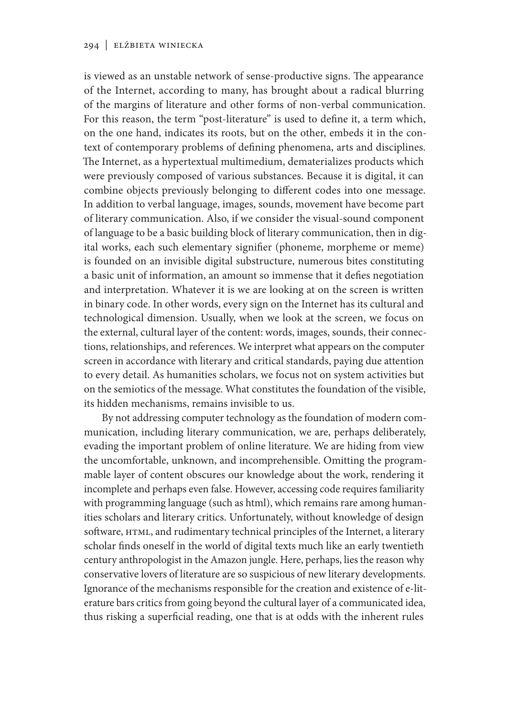is viewed as an unstable network of sense-productive signs. The appearance of the Internet, according to many, has brought about a radical blurring of the margins of literature and other forms of non-verbal communication. For this reason, the term "post-literature" is used to define it, a term which, on the one hand, indicates its roots, but on the other, embeds it in the context of contemporary problems of defining phenomena, arts and disciplines. The Internet, as a hypertextual multimedium, dematerializes products which were previously composed of various substances. Because it is digital, it can combine objects previously belonging to different codes into one message. In addition to verbal language, images, sounds, movement have become part of literary communication. Also, if we consider the visual-sound component of language to be a basic building block of literary communication, then in digital works, each such elementary signifier (phoneme, morpheme or meme) is founded on an invisible digital substructure, numerous bites constituting a basic unit of information, an amount so immense that it defies negotiation and interpretation. Whatever it is we are looking at on the screen is written in binary code. In other words, every sign on the Internet has its cultural and technological dimension. Usually, when we look at the screen, we focus on the external, cultural layer of the content: words, images, sounds, their connections, relationships, and references. We interpret what appears on the computer screen in accordance with literary and critical standards, paying due attention to every detail. As humanities scholars, we focus not on system activities but on the semiotics of the message. What constitutes the foundation of the visible, its hidden mechanisms, remains invisible to us.

By not addressing computer technology as the foundation of modern communication, including literary communication, we are, perhaps deliberately, evading the important problem of online literature. We are hiding from view the uncomfortable, unknown, and incomprehensible. Omitting the programmable layer of content obscures our knowledge about the work, rendering it incomplete and perhaps even false. However, accessing code requires familiarity with programming language (such as html), which remains rare among humanities scholars and literary critics. Unfortunately, without knowledge of design software, HTML, and rudimentary technical principles of the Internet, a literary scholar finds oneself in the world of digital texts much like an early twentieth century anthropologist in the Amazon jungle. Here, perhaps, lies the reason why conservative lovers of literature are so suspicious of new literary developments. Ignorance of the mechanisms responsible for the creation and existence of e-literature bars critics from going beyond the cultural layer of a communicated idea, thus risking a superficial reading, one that is at odds with the inherent rules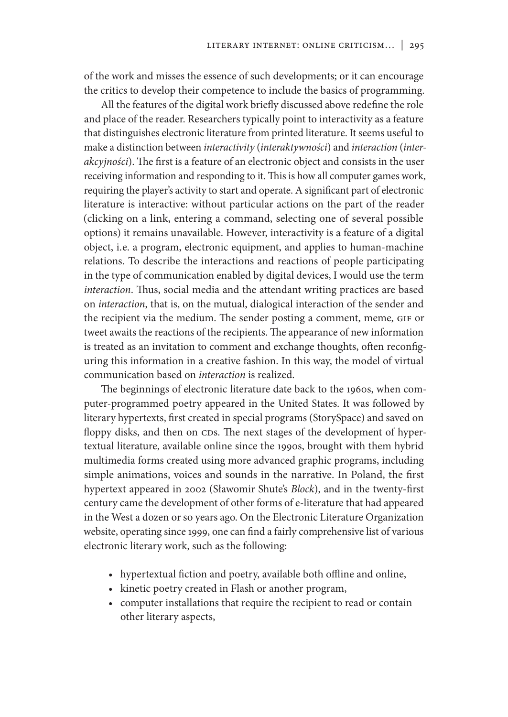of the work and misses the essence of such developments; or it can encourage the critics to develop their competence to include the basics of programming.

All the features of the digital work briefly discussed above redefine the role and place of the reader. Researchers typically point to interactivity as a feature that distinguishes electronic literature from printed literature. It seems useful to make a distinction between *interactivity* (*interaktywności*) and *interaction* (*interakcyjności*). The first is a feature of an electronic object and consists in the user receiving information and responding to it. This is how all computer games work, requiring the player's activity to start and operate. A significant part of electronic literature is interactive: without particular actions on the part of the reader (clicking on a link, entering a command, selecting one of several possible options) it remains unavailable. However, interactivity is a feature of a digital object, i.e. a program, electronic equipment, and applies to human-machine relations. To describe the interactions and reactions of people participating in the type of communication enabled by digital devices, I would use the term *interaction*. Thus, social media and the attendant writing practices are based on *interaction*, that is, on the mutual, dialogical interaction of the sender and the recipient via the medium. The sender posting a comment, meme, GIF or tweet awaits the reactions of the recipients. The appearance of new information is treated as an invitation to comment and exchange thoughts, often reconfiguring this information in a creative fashion. In this way, the model of virtual communication based on *interaction* is realized.

The beginnings of electronic literature date back to the 1960s, when computer-programmed poetry appeared in the United States. It was followed by literary hypertexts, first created in special programs (StorySpace) and saved on floppy disks, and then on CDs. The next stages of the development of hypertextual literature, available online since the 1990s, brought with them hybrid multimedia forms created using more advanced graphic programs, including simple animations, voices and sounds in the narrative. In Poland, the first hypertext appeared in 2002 (Sławomir Shute's *Block*), and in the twenty-first century came the development of other forms of e-literature that had appeared in the West a dozen or so years ago. On the Electronic Literature Organization website, operating since 1999, one can find a fairly comprehensive list of various electronic literary work, such as the following:

- hypertextual fiction and poetry, available both offline and online,
- kinetic poetry created in Flash or another program,
- computer installations that require the recipient to read or contain other literary aspects,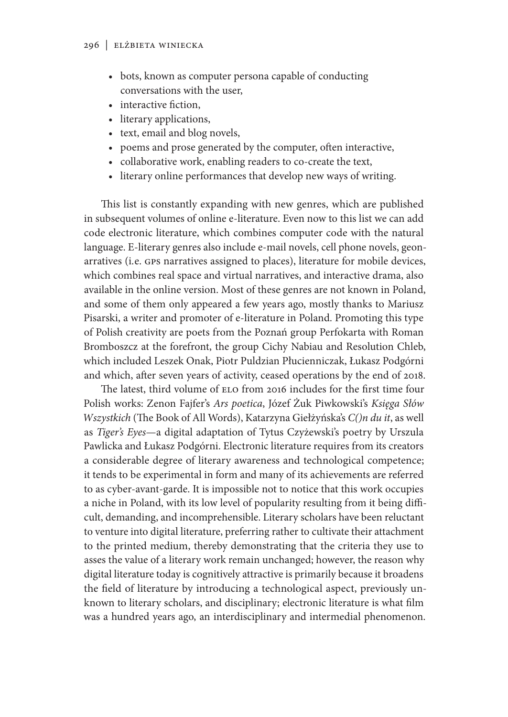- bots, known as computer persona capable of conducting conversations with the user,
- interactive fiction,
- literary applications,
- text, email and blog novels,
- poems and prose generated by the computer, often interactive,
- collaborative work, enabling readers to co-create the text,
- literary online performances that develop new ways of writing.

This list is constantly expanding with new genres, which are published in subsequent volumes of online e-literature. Even now to this list we can add code electronic literature, which combines computer code with the natural language. E-literary genres also include e-mail novels, cell phone novels, geonarratives (i.e. GPS narratives assigned to places), literature for mobile devices, which combines real space and virtual narratives, and interactive drama, also available in the online version. Most of these genres are not known in Poland, and some of them only appeared a few years ago, mostly thanks to Mariusz Pisarski, a writer and promoter of e-literature in Poland. Promoting this type of Polish creativity are poets from the Poznań group Perfokarta with Roman Bromboszcz at the forefront, the group Cichy Nabiau and Resolution Chleb, which included Leszek Onak, Piotr Puldzian Płucienniczak, Łukasz Podgórni and which, after seven years of activity, ceased operations by the end of 2018.

The latest, third volume of ELO from 2016 includes for the first time four Polish works: Zenon Fajfer's *Ars poetica*, Józef Żuk Piwkowski's *Księga Słów Wszystkich* (The Book of All Words), Katarzyna Giełżyńska's *C()n du it*, as well as *Tiger's Eyes*—a digital adaptation of Tytus Czyżewski's poetry by Urszula Pawlicka and Łukasz Podgórni. Electronic literature requires from its creators a considerable degree of literary awareness and technological competence; it tends to be experimental in form and many of its achievements are referred to as cyber-avant-garde. It is impossible not to notice that this work occupies a niche in Poland, with its low level of popularity resulting from it being difficult, demanding, and incomprehensible. Literary scholars have been reluctant to venture into digital literature, preferring rather to cultivate their attachment to the printed medium, thereby demonstrating that the criteria they use to asses the value of a literary work remain unchanged; however, the reason why digital literature today is cognitively attractive is primarily because it broadens the field of literature by introducing a technological aspect, previously unknown to literary scholars, and disciplinary; electronic literature is what film was a hundred years ago, an interdisciplinary and intermedial phenomenon.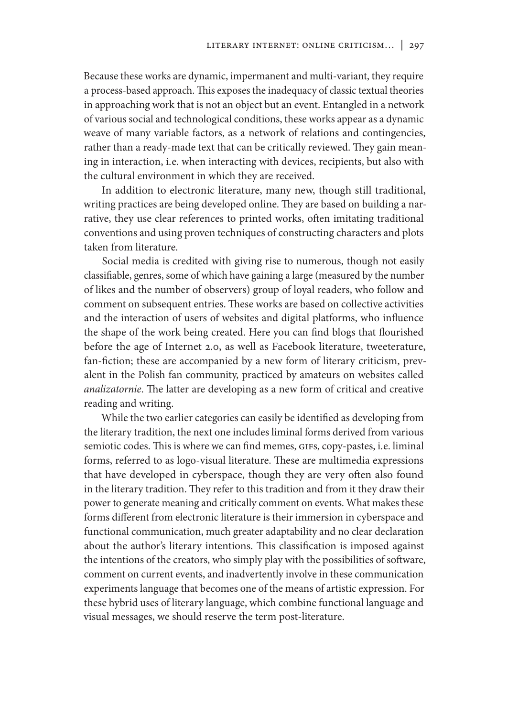Because these works are dynamic, impermanent and multi-variant, they require a process-based approach. This exposes the inadequacy of classic textual theories in approaching work that is not an object but an event. Entangled in a network of various social and technological conditions, these works appear as a dynamic weave of many variable factors, as a network of relations and contingencies, rather than a ready-made text that can be critically reviewed. They gain meaning in interaction, i.e. when interacting with devices, recipients, but also with the cultural environment in which they are received.

In addition to electronic literature, many new, though still traditional, writing practices are being developed online. They are based on building a narrative, they use clear references to printed works, often imitating traditional conventions and using proven techniques of constructing characters and plots taken from literature.

Social media is credited with giving rise to numerous, though not easily classifiable, genres, some of which have gaining a large (measured by the number of likes and the number of observers) group of loyal readers, who follow and comment on subsequent entries. These works are based on collective activities and the interaction of users of websites and digital platforms, who influence the shape of the work being created. Here you can find blogs that flourished before the age of Internet 2.0, as well as Facebook literature, tweeterature, fan-fiction; these are accompanied by a new form of literary criticism, prevalent in the Polish fan community, practiced by amateurs on websites called *analizatornie*. The latter are developing as a new form of critical and creative reading and writing.

While the two earlier categories can easily be identified as developing from the literary tradition, the next one includes liminal forms derived from various semiotic codes. This is where we can find memes, GIFs, copy-pastes, i.e. liminal forms, referred to as logo-visual literature. These are multimedia expressions that have developed in cyberspace, though they are very often also found in the literary tradition. They refer to this tradition and from it they draw their power to generate meaning and critically comment on events. What makes these forms different from electronic literature is their immersion in cyberspace and functional communication, much greater adaptability and no clear declaration about the author's literary intentions. This classification is imposed against the intentions of the creators, who simply play with the possibilities of software, comment on current events, and inadvertently involve in these communication experiments language that becomes one of the means of artistic expression. For these hybrid uses of literary language, which combine functional language and visual messages, we should reserve the term post-literature.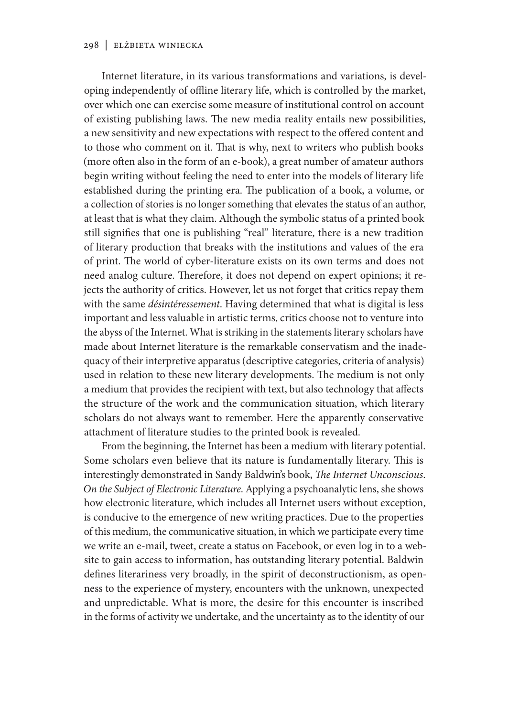Internet literature, in its various transformations and variations, is developing independently of offline literary life, which is controlled by the market, over which one can exercise some measure of institutional control on account of existing publishing laws. The new media reality entails new possibilities, a new sensitivity and new expectations with respect to the offered content and to those who comment on it. That is why, next to writers who publish books (more often also in the form of an e-book), a great number of amateur authors begin writing without feeling the need to enter into the models of literary life established during the printing era. The publication of a book, a volume, or a collection of stories is no longer something that elevates the status of an author, at least that is what they claim. Although the symbolic status of a printed book still signifies that one is publishing "real" literature, there is a new tradition of literary production that breaks with the institutions and values of the era of print. The world of cyber-literature exists on its own terms and does not need analog culture. Therefore, it does not depend on expert opinions; it rejects the authority of critics. However, let us not forget that critics repay them with the same *désintéressement*. Having determined that what is digital is less important and less valuable in artistic terms, critics choose not to venture into the abyss of the Internet. What is striking in the statements literary scholars have made about Internet literature is the remarkable conservatism and the inadequacy of their interpretive apparatus (descriptive categories, criteria of analysis) used in relation to these new literary developments. The medium is not only a medium that provides the recipient with text, but also technology that affects the structure of the work and the communication situation, which literary scholars do not always want to remember. Here the apparently conservative attachment of literature studies to the printed book is revealed.

From the beginning, the Internet has been a medium with literary potential. Some scholars even believe that its nature is fundamentally literary. This is interestingly demonstrated in Sandy Baldwin's book, *The Internet Unconscious*. *On the Subject of Electronic Literature*. Applying a psychoanalytic lens, she shows how electronic literature, which includes all Internet users without exception, is conducive to the emergence of new writing practices. Due to the properties of this medium, the communicative situation, in which we participate every time we write an e-mail, tweet, create a status on Facebook, or even log in to a website to gain access to information, has outstanding literary potential. Baldwin defines literariness very broadly, in the spirit of deconstructionism, as openness to the experience of mystery, encounters with the unknown, unexpected and unpredictable. What is more, the desire for this encounter is inscribed in the forms of activity we undertake, and the uncertainty as to the identity of our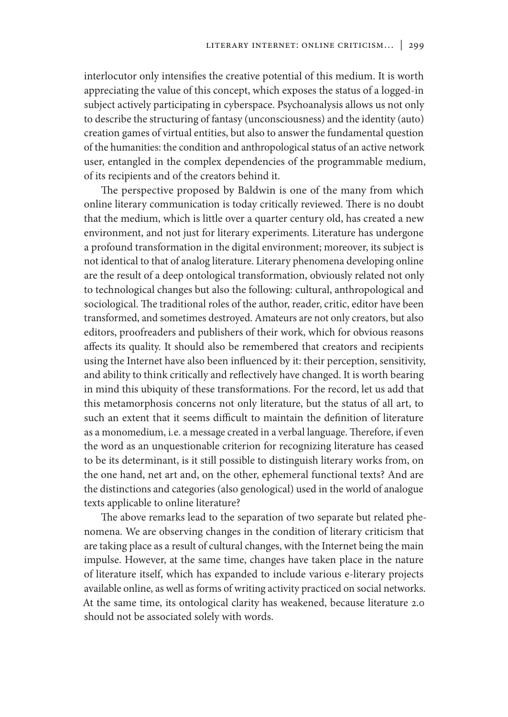interlocutor only intensifies the creative potential of this medium. It is worth appreciating the value of this concept, which exposes the status of a logged-in subject actively participating in cyberspace. Psychoanalysis allows us not only to describe the structuring of fantasy (unconsciousness) and the identity (auto) creation games of virtual entities, but also to answer the fundamental question of the humanities: the condition and anthropological status of an active network user, entangled in the complex dependencies of the programmable medium, of its recipients and of the creators behind it.

The perspective proposed by Baldwin is one of the many from which online literary communication is today critically reviewed. There is no doubt that the medium, which is little over a quarter century old, has created a new environment, and not just for literary experiments. Literature has undergone a profound transformation in the digital environment; moreover, its subject is not identical to that of analog literature. Literary phenomena developing online are the result of a deep ontological transformation, obviously related not only to technological changes but also the following: cultural, anthropological and sociological. The traditional roles of the author, reader, critic, editor have been transformed, and sometimes destroyed. Amateurs are not only creators, but also editors, proofreaders and publishers of their work, which for obvious reasons affects its quality. It should also be remembered that creators and recipients using the Internet have also been influenced by it: their perception, sensitivity, and ability to think critically and reflectively have changed. It is worth bearing in mind this ubiquity of these transformations. For the record, let us add that this metamorphosis concerns not only literature, but the status of all art, to such an extent that it seems difficult to maintain the definition of literature as a monomedium, i.e. a message created in a verbal language. Therefore, if even the word as an unquestionable criterion for recognizing literature has ceased to be its determinant, is it still possible to distinguish literary works from, on the one hand, net art and, on the other, ephemeral functional texts? And are the distinctions and categories (also genological) used in the world of analogue texts applicable to online literature?

The above remarks lead to the separation of two separate but related phenomena. We are observing changes in the condition of literary criticism that are taking place as a result of cultural changes, with the Internet being the main impulse. However, at the same time, changes have taken place in the nature of literature itself, which has expanded to include various e-literary projects available online, as well as forms of writing activity practiced on social networks. At the same time, its ontological clarity has weakened, because literature 2.0 should not be associated solely with words.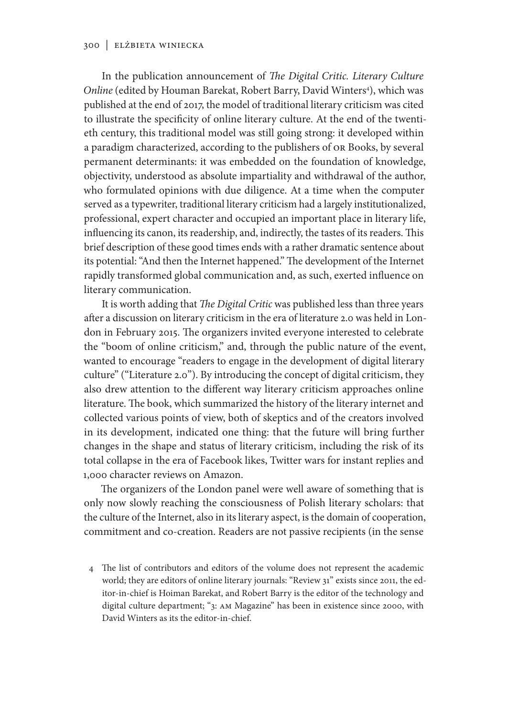In the publication announcement of *The Digital Critic. Literary Culture*  Online (edited by Houman Barekat, Robert Barry, David Winters<sup>4</sup>), which was published at the end of 2017, the model of traditional literary criticism was cited to illustrate the specificity of online literary culture. At the end of the twentieth century, this traditional model was still going strong: it developed within a paradigm characterized, according to the publishers of OR Books, by several permanent determinants: it was embedded on the foundation of knowledge, objectivity, understood as absolute impartiality and withdrawal of the author, who formulated opinions with due diligence. At a time when the computer served as a typewriter, traditional literary criticism had a largely institutionalized, professional, expert character and occupied an important place in literary life, influencing its canon, its readership, and, indirectly, the tastes of its readers. This brief description of these good times ends with a rather dramatic sentence about its potential: "And then the Internet happened." The development of the Internet rapidly transformed global communication and, as such, exerted influence on literary communication.

It is worth adding that *The Digital Critic* was published less than three years after a discussion on literary criticism in the era of literature 2.0 was held in London in February 2015. The organizers invited everyone interested to celebrate the "boom of online criticism," and, through the public nature of the event, wanted to encourage "readers to engage in the development of digital literary culture" ("Literature 2.0"). By introducing the concept of digital criticism, they also drew attention to the different way literary criticism approaches online literature. The book, which summarized the history of the literary internet and collected various points of view, both of skeptics and of the creators involved in its development, indicated one thing: that the future will bring further changes in the shape and status of literary criticism, including the risk of its total collapse in the era of Facebook likes, Twitter wars for instant replies and 1,000 character reviews on Amazon.

The organizers of the London panel were well aware of something that is only now slowly reaching the consciousness of Polish literary scholars: that the culture of the Internet, also in its literary aspect, is the domain of cooperation, commitment and co-creation. Readers are not passive recipients (in the sense

4 The list of contributors and editors of the volume does not represent the academic world; they are editors of online literary journals: "Review 31" exists since 2011, the editor-in-chief is Hoiman Barekat, and Robert Barry is the editor of the technology and digital culture department; "3: AM Magazine" has been in existence since 2000, with David Winters as its the editor-in-chief.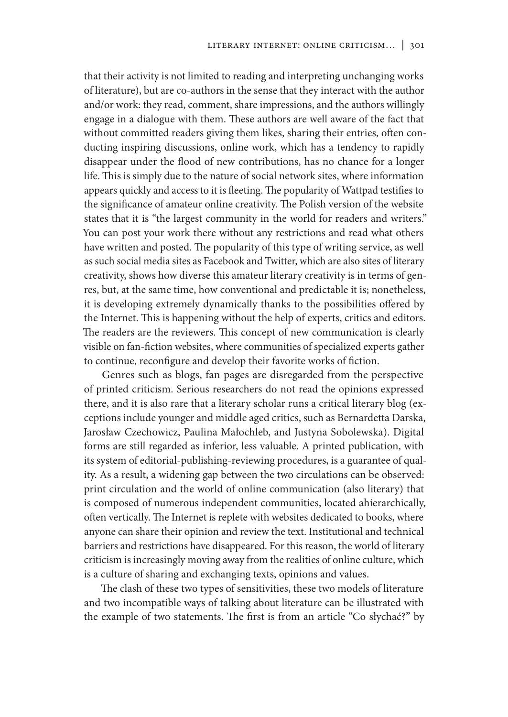that their activity is not limited to reading and interpreting unchanging works of literature), but are co-authors in the sense that they interact with the author and/or work: they read, comment, share impressions, and the authors willingly engage in a dialogue with them. These authors are well aware of the fact that without committed readers giving them likes, sharing their entries, often conducting inspiring discussions, online work, which has a tendency to rapidly disappear under the flood of new contributions, has no chance for a longer life. This is simply due to the nature of social network sites, where information appears quickly and access to it is fleeting. The popularity of Wattpad testifies to the significance of amateur online creativity. The Polish version of the website states that it is "the largest community in the world for readers and writers." You can post your work there without any restrictions and read what others have written and posted. The popularity of this type of writing service, as well as such social media sites as Facebook and Twitter, which are also sites of literary creativity, shows how diverse this amateur literary creativity is in terms of genres, but, at the same time, how conventional and predictable it is; nonetheless, it is developing extremely dynamically thanks to the possibilities offered by the Internet. This is happening without the help of experts, critics and editors. The readers are the reviewers. This concept of new communication is clearly visible on fan-fiction websites, where communities of specialized experts gather to continue, reconfigure and develop their favorite works of fiction.

Genres such as blogs, fan pages are disregarded from the perspective of printed criticism. Serious researchers do not read the opinions expressed there, and it is also rare that a literary scholar runs a critical literary blog (exceptions include younger and middle aged critics, such as Bernardetta Darska, Jarosław Czechowicz, Paulina Małochleb, and Justyna Sobolewska). Digital forms are still regarded as inferior, less valuable. A printed publication, with its system of editorial-publishing-reviewing procedures, is a guarantee of quality. As a result, a widening gap between the two circulations can be observed: print circulation and the world of online communication (also literary) that is composed of numerous independent communities, located ahierarchically, often vertically. The Internet is replete with websites dedicated to books, where anyone can share their opinion and review the text. Institutional and technical barriers and restrictions have disappeared. For this reason, the world of literary criticism is increasingly moving away from the realities of online culture, which is a culture of sharing and exchanging texts, opinions and values.

The clash of these two types of sensitivities, these two models of literature and two incompatible ways of talking about literature can be illustrated with the example of two statements. The first is from an article "Co słychać?" by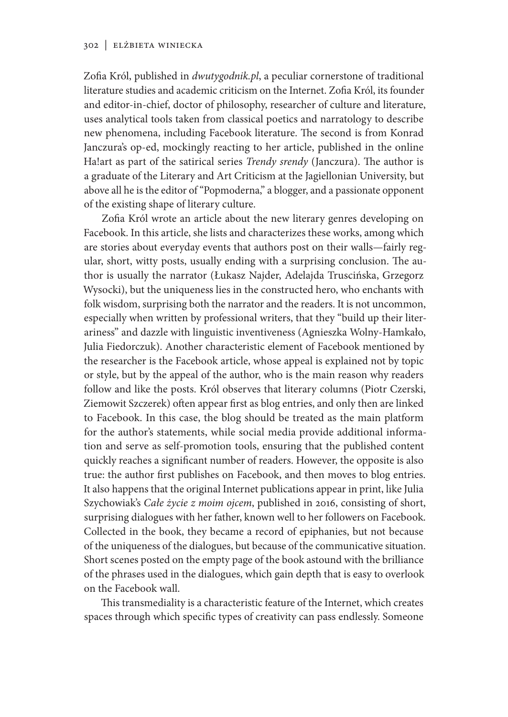Zofia Król, published in *dwutygodnik.pl*, a peculiar cornerstone of traditional literature studies and academic criticism on the Internet. Zofia Król, its founder and editor-in-chief, doctor of philosophy, researcher of culture and literature, uses analytical tools taken from classical poetics and narratology to describe new phenomena, including Facebook literature. The second is from Konrad Janczura's op-ed, mockingly reacting to her article, published in the online Ha!art as part of the satirical series *Trendy srendy* (Janczura). The author is a graduate of the Literary and Art Criticism at the Jagiellonian University, but above all he is the editor of "Popmoderna," a blogger, and a passionate opponent of the existing shape of literary culture.

Zofia Król wrote an article about the new literary genres developing on Facebook. In this article, she lists and characterizes these works, among which are stories about everyday events that authors post on their walls—fairly regular, short, witty posts, usually ending with a surprising conclusion. The author is usually the narrator (Łukasz Najder, Adelajda Truscińska, Grzegorz Wysocki), but the uniqueness lies in the constructed hero, who enchants with folk wisdom, surprising both the narrator and the readers. It is not uncommon, especially when written by professional writers, that they "build up their literariness" and dazzle with linguistic inventiveness (Agnieszka Wolny-Hamkało, Julia Fiedorczuk). Another characteristic element of Facebook mentioned by the researcher is the Facebook article, whose appeal is explained not by topic or style, but by the appeal of the author, who is the main reason why readers follow and like the posts. Król observes that literary columns (Piotr Czerski, Ziemowit Szczerek) often appear first as blog entries, and only then are linked to Facebook. In this case, the blog should be treated as the main platform for the author's statements, while social media provide additional information and serve as self-promotion tools, ensuring that the published content quickly reaches a significant number of readers. However, the opposite is also true: the author first publishes on Facebook, and then moves to blog entries. It also happens that the original Internet publications appear in print, like Julia Szychowiak's *Całe życie z moim ojcem*, published in 2016, consisting of short, surprising dialogues with her father, known well to her followers on Facebook. Collected in the book, they became a record of epiphanies, but not because of the uniqueness of the dialogues, but because of the communicative situation. Short scenes posted on the empty page of the book astound with the brilliance of the phrases used in the dialogues, which gain depth that is easy to overlook on the Facebook wall.

This transmediality is a characteristic feature of the Internet, which creates spaces through which specific types of creativity can pass endlessly. Someone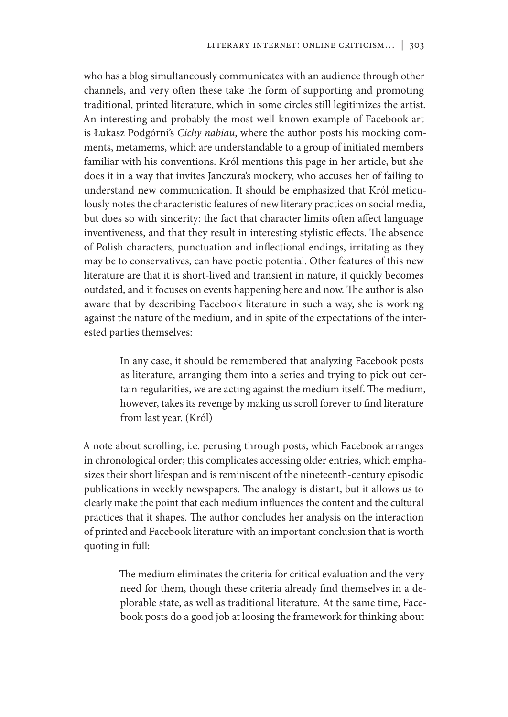who has a blog simultaneously communicates with an audience through other channels, and very often these take the form of supporting and promoting traditional, printed literature, which in some circles still legitimizes the artist. An interesting and probably the most well-known example of Facebook art is Łukasz Podgórni's *Cichy nabiau*, where the author posts his mocking comments, metamems, which are understandable to a group of initiated members familiar with his conventions. Król mentions this page in her article, but she does it in a way that invites Janczura's mockery, who accuses her of failing to understand new communication. It should be emphasized that Król meticulously notes the characteristic features of new literary practices on social media, but does so with sincerity: the fact that character limits often affect language inventiveness, and that they result in interesting stylistic effects. The absence of Polish characters, punctuation and inflectional endings, irritating as they may be to conservatives, can have poetic potential. Other features of this new literature are that it is short-lived and transient in nature, it quickly becomes outdated, and it focuses on events happening here and now. The author is also aware that by describing Facebook literature in such a way, she is working against the nature of the medium, and in spite of the expectations of the interested parties themselves:

> In any case, it should be remembered that analyzing Facebook posts as literature, arranging them into a series and trying to pick out certain regularities, we are acting against the medium itself. The medium, however, takes its revenge by making us scroll forever to find literature from last year. (Król)

A note about scrolling, i.e. perusing through posts, which Facebook arranges in chronological order; this complicates accessing older entries, which emphasizes their short lifespan and is reminiscent of the nineteenth-century episodic publications in weekly newspapers. The analogy is distant, but it allows us to clearly make the point that each medium influences the content and the cultural practices that it shapes. The author concludes her analysis on the interaction of printed and Facebook literature with an important conclusion that is worth quoting in full:

> The medium eliminates the criteria for critical evaluation and the very need for them, though these criteria already find themselves in a deplorable state, as well as traditional literature. At the same time, Facebook posts do a good job at loosing the framework for thinking about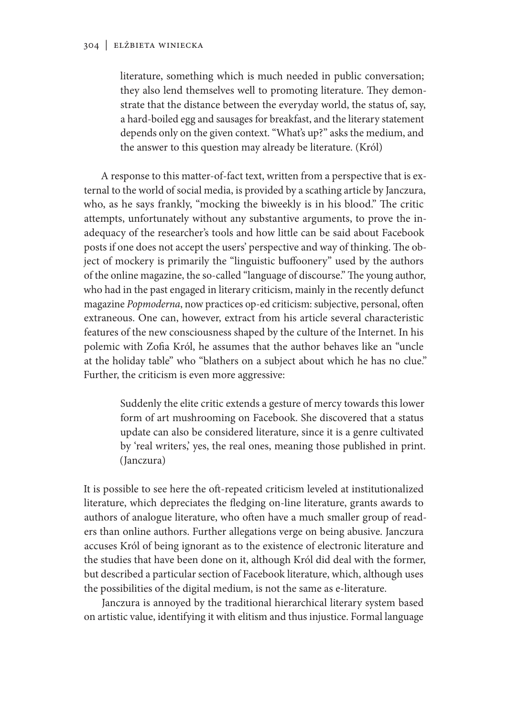literature, something which is much needed in public conversation; they also lend themselves well to promoting literature. They demonstrate that the distance between the everyday world, the status of, say, a hard-boiled egg and sausages for breakfast, and the literary statement depends only on the given context. "What's up?" asks the medium, and the answer to this question may already be literature. (Król)

A response to this matter-of-fact text, written from a perspective that is external to the world of social media, is provided by a scathing article by Janczura, who, as he says frankly, "mocking the biweekly is in his blood." The critic attempts, unfortunately without any substantive arguments, to prove the inadequacy of the researcher's tools and how little can be said about Facebook posts if one does not accept the users' perspective and way of thinking. The object of mockery is primarily the "linguistic buffoonery" used by the authors of the online magazine, the so-called "language of discourse." The young author, who had in the past engaged in literary criticism, mainly in the recently defunct magazine *Popmoderna*, now practices op-ed criticism: subjective, personal, often extraneous. One can, however, extract from his article several characteristic features of the new consciousness shaped by the culture of the Internet. In his polemic with Zofia Król, he assumes that the author behaves like an "uncle at the holiday table" who "blathers on a subject about which he has no clue." Further, the criticism is even more aggressive:

> Suddenly the elite critic extends a gesture of mercy towards this lower form of art mushrooming on Facebook. She discovered that a status update can also be considered literature, since it is a genre cultivated by 'real writers,' yes, the real ones, meaning those published in print. (Janczura)

It is possible to see here the oft-repeated criticism leveled at institutionalized literature, which depreciates the fledging on-line literature, grants awards to authors of analogue literature, who often have a much smaller group of readers than online authors. Further allegations verge on being abusive. Janczura accuses Król of being ignorant as to the existence of electronic literature and the studies that have been done on it, although Król did deal with the former, but described a particular section of Facebook literature, which, although uses the possibilities of the digital medium, is not the same as e-literature.

Janczura is annoyed by the traditional hierarchical literary system based on artistic value, identifying it with elitism and thus injustice. Formal language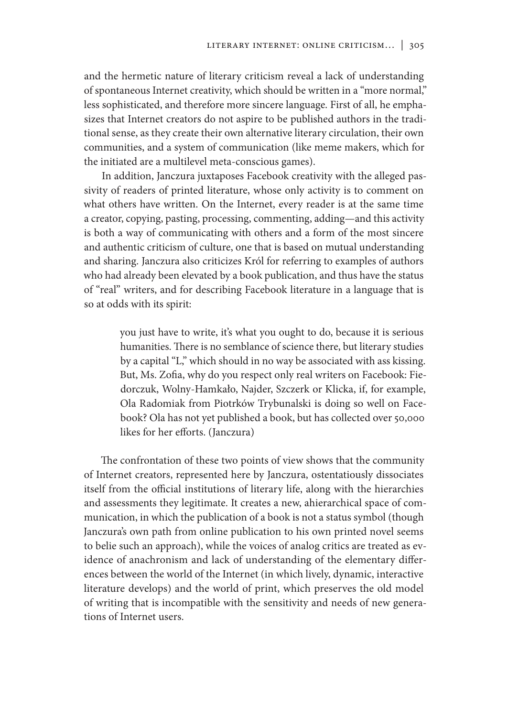and the hermetic nature of literary criticism reveal a lack of understanding of spontaneous Internet creativity, which should be written in a "more normal," less sophisticated, and therefore more sincere language. First of all, he emphasizes that Internet creators do not aspire to be published authors in the traditional sense, as they create their own alternative literary circulation, their own communities, and a system of communication (like meme makers, which for the initiated are a multilevel meta-conscious games).

In addition, Janczura juxtaposes Facebook creativity with the alleged passivity of readers of printed literature, whose only activity is to comment on what others have written. On the Internet, every reader is at the same time a creator, copying, pasting, processing, commenting, adding—and this activity is both a way of communicating with others and a form of the most sincere and authentic criticism of culture, one that is based on mutual understanding and sharing. Janczura also criticizes Król for referring to examples of authors who had already been elevated by a book publication, and thus have the status of "real" writers, and for describing Facebook literature in a language that is so at odds with its spirit:

> you just have to write, it's what you ought to do, because it is serious humanities. There is no semblance of science there, but literary studies by a capital "L," which should in no way be associated with ass kissing. But, Ms. Zofia, why do you respect only real writers on Facebook: Fiedorczuk, Wolny-Hamkało, Najder, Szczerk or Klicka, if, for example, Ola Radomiak from Piotrków Trybunalski is doing so well on Facebook? Ola has not yet published a book, but has collected over 50,000 likes for her efforts. (Janczura)

The confrontation of these two points of view shows that the community of Internet creators, represented here by Janczura, ostentatiously dissociates itself from the official institutions of literary life, along with the hierarchies and assessments they legitimate. It creates a new, ahierarchical space of communication, in which the publication of a book is not a status symbol (though Janczura's own path from online publication to his own printed novel seems to belie such an approach), while the voices of analog critics are treated as evidence of anachronism and lack of understanding of the elementary differences between the world of the Internet (in which lively, dynamic, interactive literature develops) and the world of print, which preserves the old model of writing that is incompatible with the sensitivity and needs of new generations of Internet users.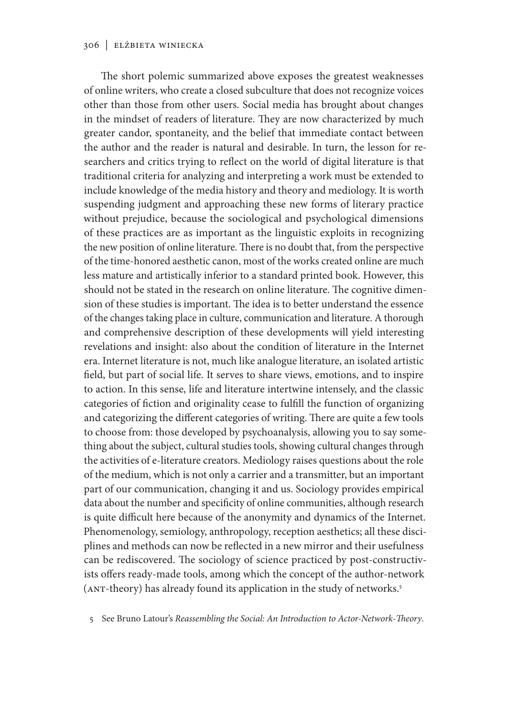The short polemic summarized above exposes the greatest weaknesses of online writers, who create a closed subculture that does not recognize voices other than those from other users. Social media has brought about changes in the mindset of readers of literature. They are now characterized by much greater candor, spontaneity, and the belief that immediate contact between the author and the reader is natural and desirable. In turn, the lesson for researchers and critics trying to reflect on the world of digital literature is that traditional criteria for analyzing and interpreting a work must be extended to include knowledge of the media history and theory and mediology. It is worth suspending judgment and approaching these new forms of literary practice without prejudice, because the sociological and psychological dimensions of these practices are as important as the linguistic exploits in recognizing the new position of online literature. There is no doubt that, from the perspective of the time-honored aesthetic canon, most of the works created online are much less mature and artistically inferior to a standard printed book. However, this should not be stated in the research on online literature. The cognitive dimension of these studies is important. The idea is to better understand the essence of the changes taking place in culture, communication and literature. A thorough and comprehensive description of these developments will yield interesting revelations and insight: also about the condition of literature in the Internet era. Internet literature is not, much like analogue literature, an isolated artistic field, but part of social life. It serves to share views, emotions, and to inspire to action. In this sense, life and literature intertwine intensely, and the classic categories of fiction and originality cease to fulfill the function of organizing and categorizing the different categories of writing. There are quite a few tools to choose from: those developed by psychoanalysis, allowing you to say something about the subject, cultural studies tools, showing cultural changes through the activities of e-literature creators. Mediology raises questions about the role of the medium, which is not only a carrier and a transmitter, but an important part of our communication, changing it and us. Sociology provides empirical data about the number and specificity of online communities, although research is quite difficult here because of the anonymity and dynamics of the Internet. Phenomenology, semiology, anthropology, reception aesthetics; all these disciplines and methods can now be reflected in a new mirror and their usefulness can be rediscovered. The sociology of science practiced by post-constructivists offers ready-made tools, among which the concept of the author-network (ANT-theory) has already found its application in the study of networks.5

5 See Bruno Latour's *Reassembling the Social: An Introduction to Actor-Network-Theory*.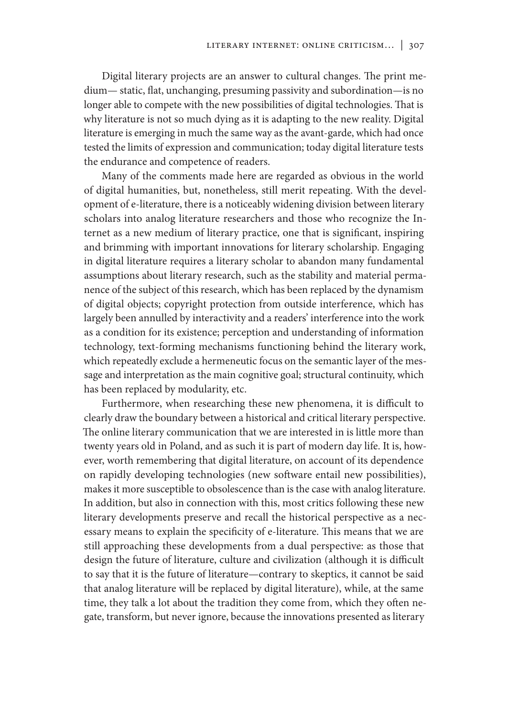Digital literary projects are an answer to cultural changes. The print medium— static, flat, unchanging, presuming passivity and subordination—is no longer able to compete with the new possibilities of digital technologies. That is why literature is not so much dying as it is adapting to the new reality. Digital literature is emerging in much the same way as the avant-garde, which had once tested the limits of expression and communication; today digital literature tests the endurance and competence of readers.

Many of the comments made here are regarded as obvious in the world of digital humanities, but, nonetheless, still merit repeating. With the development of e-literature, there is a noticeably widening division between literary scholars into analog literature researchers and those who recognize the Internet as a new medium of literary practice, one that is significant, inspiring and brimming with important innovations for literary scholarship. Engaging in digital literature requires a literary scholar to abandon many fundamental assumptions about literary research, such as the stability and material permanence of the subject of this research, which has been replaced by the dynamism of digital objects; copyright protection from outside interference, which has largely been annulled by interactivity and a readers' interference into the work as a condition for its existence; perception and understanding of information technology, text-forming mechanisms functioning behind the literary work, which repeatedly exclude a hermeneutic focus on the semantic layer of the message and interpretation as the main cognitive goal; structural continuity, which has been replaced by modularity, etc.

Furthermore, when researching these new phenomena, it is difficult to clearly draw the boundary between a historical and critical literary perspective. The online literary communication that we are interested in is little more than twenty years old in Poland, and as such it is part of modern day life. It is, however, worth remembering that digital literature, on account of its dependence on rapidly developing technologies (new software entail new possibilities), makes it more susceptible to obsolescence than is the case with analog literature. In addition, but also in connection with this, most critics following these new literary developments preserve and recall the historical perspective as a necessary means to explain the specificity of e-literature. This means that we are still approaching these developments from a dual perspective: as those that design the future of literature, culture and civilization (although it is difficult to say that it is the future of literature—contrary to skeptics, it cannot be said that analog literature will be replaced by digital literature), while, at the same time, they talk a lot about the tradition they come from, which they often negate, transform, but never ignore, because the innovations presented as literary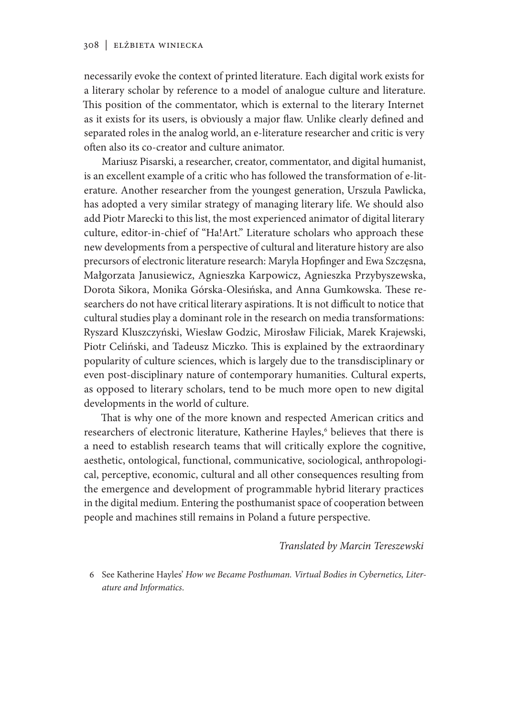necessarily evoke the context of printed literature. Each digital work exists for a literary scholar by reference to a model of analogue culture and literature. This position of the commentator, which is external to the literary Internet as it exists for its users, is obviously a major flaw. Unlike clearly defined and separated roles in the analog world, an e-literature researcher and critic is very often also its co-creator and culture animator.

Mariusz Pisarski, a researcher, creator, commentator, and digital humanist, is an excellent example of a critic who has followed the transformation of e-literature. Another researcher from the youngest generation, Urszula Pawlicka, has adopted a very similar strategy of managing literary life. We should also add Piotr Marecki to this list, the most experienced animator of digital literary culture, editor-in-chief of "Ha!Art." Literature scholars who approach these new developments from a perspective of cultural and literature history are also precursors of electronic literature research: Maryla Hopfinger and Ewa Szczęsna, Małgorzata Janusiewicz, Agnieszka Karpowicz, Agnieszka Przybyszewska, Dorota Sikora, Monika Górska-Olesińska, and Anna Gumkowska. These researchers do not have critical literary aspirations. It is not difficult to notice that cultural studies play a dominant role in the research on media transformations: Ryszard Kluszczyński, Wiesław Godzic, Mirosław Filiciak, Marek Krajewski, Piotr Celiński, and Tadeusz Miczko. This is explained by the extraordinary popularity of culture sciences, which is largely due to the transdisciplinary or even post-disciplinary nature of contemporary humanities. Cultural experts, as opposed to literary scholars, tend to be much more open to new digital developments in the world of culture.

That is why one of the more known and respected American critics and researchers of electronic literature, Katherine Hayles,<sup>6</sup> believes that there is a need to establish research teams that will critically explore the cognitive, aesthetic, ontological, functional, communicative, sociological, anthropological, perceptive, economic, cultural and all other consequences resulting from the emergence and development of programmable hybrid literary practices in the digital medium. Entering the posthumanist space of cooperation between people and machines still remains in Poland a future perspective.

*Translated by Marcin Tereszewski*

6 See Katherine Hayles' *How we Became Posthuman. Virtual Bodies in Cybernetics, Literature and Informatics*.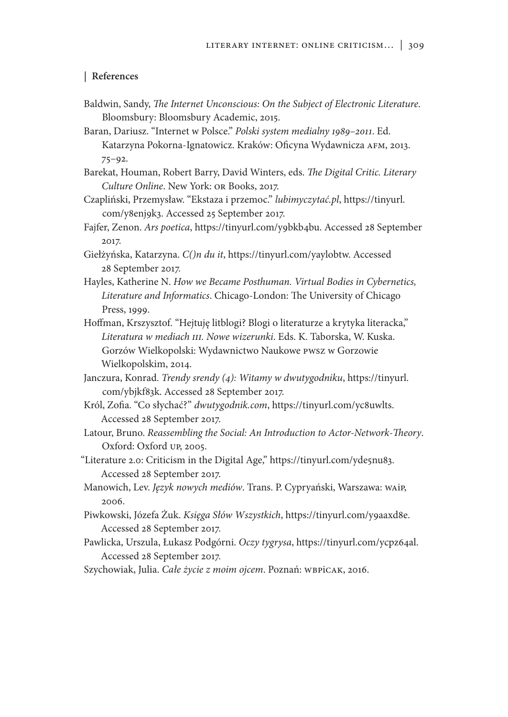### **| References**

- Baldwin, Sandy, *The Internet Unconscious: On the Subject of Electronic Literature*. Bloomsbury: Bloomsbury Academic, 2015.
- Baran, Dariusz. "Internet w Polsce." *Polski system medialny 1989–2011*. Ed. Katarzyna Pokorna-Ignatowicz. Kraków: Oficyna Wydawnicza AFM, 2013. 75–92.
- Barekat, Houman, Robert Barry, David Winters, eds. *The Digital Critic. Literary Culture Online*. New York: OR Books, 2017.
- Czapliński, Przemysław. "Ekstaza i przemoc." *lubimyczytać.pl*, https://tinyurl. com/y8enj9k3. Accessed 25 September 2017.
- Fajfer, Zenon. *Ars poetica*, https://tinyurl.com/y9bkb4bu. Accessed 28 September 2017.
- Giełżyńska, Katarzyna. *C()n du it*, https://tinyurl.com/yaylobtw. Accessed 28 September 2017.
- Hayles, Katherine N. *How we Became Posthuman. Virtual Bodies in Cybernetics, Literature and Informatics*. Chicago-London: The University of Chicago Press, 1999.
- Hoffman, Krszysztof. "Hejtuję litblogi? Blogi o literaturze a krytyka literacka," *Literatura w mediach III. Nowe wizerunki*. Eds. K. Taborska, W. Kuska. Gorzów Wielkopolski: Wydawnictwo Naukowe PWSZ w Gorzowie Wielkopolskim, 2014.
- Janczura, Konrad. *Trendy srendy (4): Witamy w dwutygodniku*, https://tinyurl. com/ybjkf83k. Accessed 28 September 2017.
- Król, Zofia. "Co słychać?" *dwutygodnik.com*, https://tinyurl.com/yc8uwlts. Accessed 28 September 2017.
- Latour, Bruno. *Reassembling the Social: An Introduction to Actor-Network-Theory*. Oxford: Oxford UP, 2005.
- "Literature 2.0: Criticism in the Digital Age," https://tinyurl.com/yde5nu83. Accessed 28 September 2017.
- Manowich, Lev. *Język nowych mediów*. Trans. P. Cypryański, Warszawa: WAiP, 2006.
- Piwkowski, Józefa Żuk. *Księga Słów Wszystkich*, https://tinyurl.com/y9aaxd8e. Accessed 28 September 2017.
- Pawlicka, Urszula, Łukasz Podgórni. *Oczy tygrysa*, https://tinyurl.com/ycpz64al. Accessed 28 September 2017.
- Szychowiak, Julia. *Całe życie z moim ojcem*. Poznań: WBPiCAK, 2016.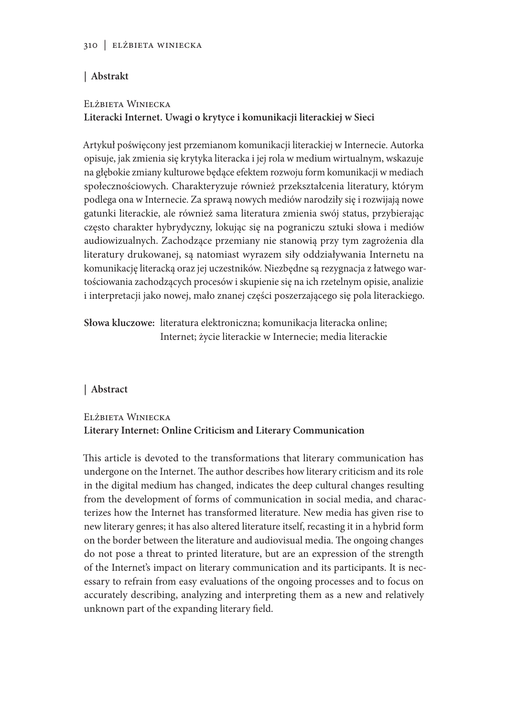# **| Abstrakt**

### Elżbieta Winiecka

# **Literacki Internet. Uwagi o krytyce i komunikacji literackiej w Sieci**

Artykuł poświęcony jest przemianom komunikacji literackiej w Internecie. Autorka opisuje, jak zmienia się krytyka literacka i jej rola w medium wirtualnym, wskazuje na głębokie zmiany kulturowe będące efektem rozwoju form komunikacji w mediach społecznościowych. Charakteryzuje również przekształcenia literatury, którym podlega ona w Internecie. Za sprawą nowych mediów narodziły się i rozwijają nowe gatunki literackie, ale również sama literatura zmienia swój status, przybierając często charakter hybrydyczny, lokując się na pograniczu sztuki słowa i mediów audiowizualnych. Zachodzące przemiany nie stanowią przy tym zagrożenia dla literatury drukowanej, są natomiast wyrazem siły oddziaływania Internetu na komunikację literacką oraz jej uczestników. Niezbędne są rezygnacja z łatwego wartościowania zachodzących procesów i skupienie się na ich rzetelnym opisie, analizie i interpretacji jako nowej, mało znanej części poszerzającego się pola literackiego.

**Słowa kluczowe:** literatura elektroniczna; komunikacja literacka online; Internet; życie literackie w Internecie; media literackie

### **| Abstract**

# Elżbieta Winiecka **Literary Internet: Online Criticism and Literary Communication**

This article is devoted to the transformations that literary communication has undergone on the Internet. The author describes how literary criticism and its role in the digital medium has changed, indicates the deep cultural changes resulting from the development of forms of communication in social media, and characterizes how the Internet has transformed literature. New media has given rise to new literary genres; it has also altered literature itself, recasting it in a hybrid form on the border between the literature and audiovisual media. The ongoing changes do not pose a threat to printed literature, but are an expression of the strength of the Internet's impact on literary communication and its participants. It is necessary to refrain from easy evaluations of the ongoing processes and to focus on accurately describing, analyzing and interpreting them as a new and relatively unknown part of the expanding literary field.